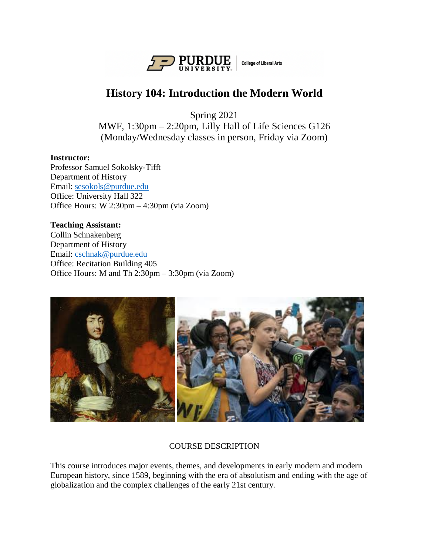

# **History 104: Introduction the Modern World**

Spring 2021

MWF, 1:30pm – 2:20pm, Lilly Hall of Life Sciences G126 (Monday/Wednesday classes in person, Friday via Zoom)

## **Instructor:**

Professor Samuel Sokolsky-Tifft Department of History Email: [sesokols@purdue.edu](mailto:sesokols@purdue.edu) Office: University Hall 322 Office Hours: W 2:30pm – 4:30pm (via Zoom)

#### **Teaching Assistant:**

Collin Schnakenberg Department of History Email: [cschnak@purdue.edu](mailto:cschnak@purdue.edu) Office: Recitation Building 405 Office Hours: M and Th 2:30pm – 3:30pm (via Zoom)



# COURSE DESCRIPTION

This course introduces major events, themes, and developments in early modern and modern European history, since 1589, beginning with the era of absolutism and ending with the age of globalization and the complex challenges of the early 21st century.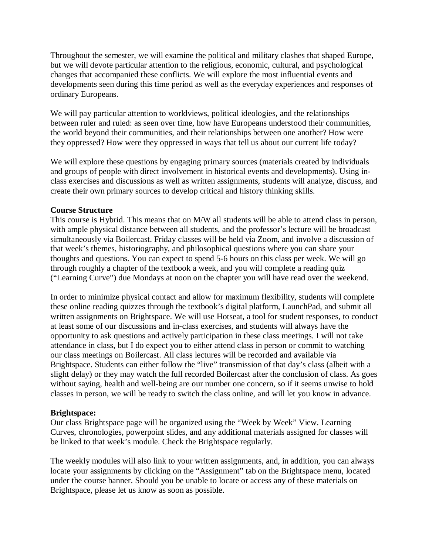Throughout the semester, we will examine the political and military clashes that shaped Europe, but we will devote particular attention to the religious, economic, cultural, and psychological changes that accompanied these conflicts. We will explore the most influential events and developments seen during this time period as well as the everyday experiences and responses of ordinary Europeans.

We will pay particular attention to worldviews, political ideologies, and the relationships between ruler and ruled: as seen over time, how have Europeans understood their communities, the world beyond their communities, and their relationships between one another? How were they oppressed? How were they oppressed in ways that tell us about our current life today?

We will explore these questions by engaging primary sources (materials created by individuals and groups of people with direct involvement in historical events and developments). Using inclass exercises and discussions as well as written assignments, students will analyze, discuss, and create their own primary sources to develop critical and history thinking skills.

#### **Course Structure**

This course is Hybrid. This means that on M/W all students will be able to attend class in person, with ample physical distance between all students, and the professor's lecture will be broadcast simultaneously via Boilercast. Friday classes will be held via Zoom, and involve a discussion of that week's themes, historiography, and philosophical questions where you can share your thoughts and questions. You can expect to spend 5-6 hours on this class per week. We will go through roughly a chapter of the textbook a week, and you will complete a reading quiz ("Learning Curve") due Mondays at noon on the chapter you will have read over the weekend.

In order to minimize physical contact and allow for maximum flexibility, students will complete these online reading quizzes through the textbook's digital platform, LaunchPad, and submit all written assignments on Brightspace. We will use Hotseat, a tool for student responses, to conduct at least some of our discussions and in-class exercises, and students will always have the opportunity to ask questions and actively participation in these class meetings. I will not take attendance in class, but I do expect you to either attend class in person or commit to watching our class meetings on Boilercast. All class lectures will be recorded and available via Brightspace. Students can either follow the "live" transmission of that day's class (albeit with a slight delay) or they may watch the full recorded Boilercast after the conclusion of class. As goes without saying, health and well-being are our number one concern, so if it seems unwise to hold classes in person, we will be ready to switch the class online, and will let you know in advance.

#### **Brightspace:**

Our class Brightspace page will be organized using the "Week by Week" View. Learning Curves, chronologies, powerpoint slides, and any additional materials assigned for classes will be linked to that week's module. Check the Brightspace regularly.

The weekly modules will also link to your written assignments, and, in addition, you can always locate your assignments by clicking on the "Assignment" tab on the Brightspace menu, located under the course banner. Should you be unable to locate or access any of these materials on Brightspace, please let us know as soon as possible.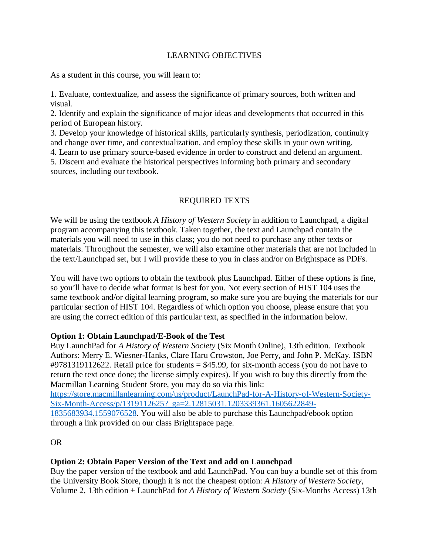## LEARNING OBJECTIVES

As a student in this course, you will learn to:

1. Evaluate, contextualize, and assess the significance of primary sources, both written and visual.

2. Identify and explain the significance of major ideas and developments that occurred in this period of European history.

3. Develop your knowledge of historical skills, particularly synthesis, periodization, continuity and change over time, and contextualization, and employ these skills in your own writing.

4. Learn to use primary source-based evidence in order to construct and defend an argument.

5. Discern and evaluate the historical perspectives informing both primary and secondary sources, including our textbook.

## REQUIRED TEXTS

We will be using the textbook *A History of Western Society* in addition to Launchpad, a digital program accompanying this textbook. Taken together, the text and Launchpad contain the materials you will need to use in this class; you do not need to purchase any other texts or materials. Throughout the semester, we will also examine other materials that are not included in the text/Launchpad set, but I will provide these to you in class and/or on Brightspace as PDFs.

You will have two options to obtain the textbook plus Launchpad. Either of these options is fine, so you'll have to decide what format is best for you. Not every section of HIST 104 uses the same textbook and/or digital learning program, so make sure you are buying the materials for our particular section of HIST 104. Regardless of which option you choose, please ensure that you are using the correct edition of this particular text, as specified in the information below.

## **Option 1: Obtain Launchpad/E-Book of the Test**

Buy LaunchPad for *A History of Western Society* (Six Month Online), 13th edition. Textbook Authors: Merry E. Wiesner-Hanks, Clare Haru Crowston, Joe Perry, and John P. McKay. ISBN  $\text{\#}9781319112622$ . Retail price for students = \$45.99, for six-month access (you do not have to return the text once done; the license simply expires). If you wish to buy this directly from the Macmillan Learning Student Store, you may do so via this link:

[https://store.macmillanlearning.com/us/product/LaunchPad-for-A-History-of-Western-Society-](https://store.macmillanlearning.com/us/product/LaunchPad-for-A-History-of-Western-Society-Six-Month-Access/p/1319112625?_ga=2.12815031.1203339361.1605622849-1835683934.1559076528)[Six-Month-Access/p/1319112625?\\_ga=2.12815031.1203339361.1605622849-](https://store.macmillanlearning.com/us/product/LaunchPad-for-A-History-of-Western-Society-Six-Month-Access/p/1319112625?_ga=2.12815031.1203339361.1605622849-1835683934.1559076528)

[1835683934.1559076528.](https://store.macmillanlearning.com/us/product/LaunchPad-for-A-History-of-Western-Society-Six-Month-Access/p/1319112625?_ga=2.12815031.1203339361.1605622849-1835683934.1559076528) You will also be able to purchase this Launchpad/ebook option through a link provided on our class Brightspace page.

## OR

# **Option 2: Obtain Paper Version of the Text and add on Launchpad**

Buy the paper version of the textbook and add LaunchPad. You can buy a bundle set of this from the University Book Store, though it is not the cheapest option: *A History of Western Society*, Volume 2, 13th edition + LaunchPad for *A History of Western Society* (Six-Months Access) 13th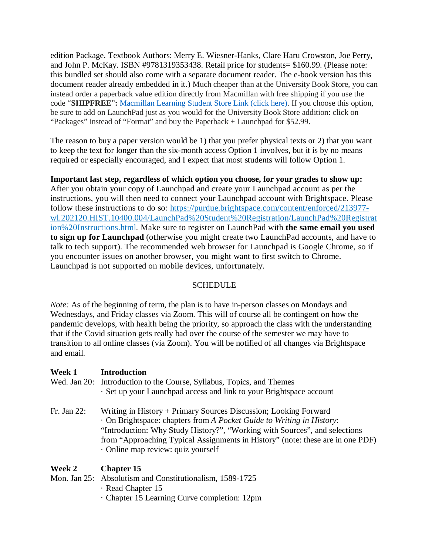edition Package. Textbook Authors: Merry E. Wiesner-Hanks, Clare Haru Crowston, Joe Perry, and John P. McKay. ISBN #9781319353438. Retail price for students= \$160.99. (Please note: this bundled set should also come with a separate document reader. The e-book version has this document reader already embedded in it.) Much cheaper than at the University Book Store, you can instead order a paperback value edition directly from Macmillan with free shipping if you use the code "**SHIPFREE**"**:** [Macmillan](https://store.macmillanlearning.com/us/product/A-History-of-Western-Society-Value-Edition-Volume-2/p/1319112463?_ga=2.54311656.1392418751.1610384333-1835683934.1559076528) Learning Student Store Link (click here). If you choose this option, be sure to add on LaunchPad just as you would for the University Book Store addition: click on "Packages" instead of "Format" and buy the Paperback + Launchpad for \$52.99.

The reason to buy a paper version would be 1) that you prefer physical texts or 2) that you want to keep the text for longer than the six-month access Option 1 involves, but it is by no means required or especially encouraged, and I expect that most students will follow Option 1.

#### **Important last step, regardless of which option you choose, for your grades to show up:**

After you obtain your copy of Launchpad and create your Launchpad account as per the instructions, you will then need to connect your Launchpad account with Brightspace. Please follow these instructions to do so: [https://purdue.brightspace.com/content/enforced/213977](https://purdue.brightspace.com/content/enforced/213977-wl.202120.HIST.10400.004/LaunchPad%20Student%20Registration/LaunchPad%20Registration%20Instructions.html) [wl.202120.HIST.10400.004/LaunchPad%20Student%20Registration/LaunchPad%20Registrat](https://purdue.brightspace.com/content/enforced/213977-wl.202120.HIST.10400.004/LaunchPad%20Student%20Registration/LaunchPad%20Registration%20Instructions.html) [ion%20Instructions.html.](https://purdue.brightspace.com/content/enforced/213977-wl.202120.HIST.10400.004/LaunchPad%20Student%20Registration/LaunchPad%20Registration%20Instructions.html) Make sure to register on LaunchPad with **the same email you used to sign up for Launchpad** (otherwise you might create two LaunchPad accounts, and have to talk to tech support). The recommended web browser for Launchpad is Google Chrome, so if you encounter issues on another browser, you might want to first switch to Chrome. Launchpad is not supported on mobile devices, unfortunately.

#### **SCHEDULE**

*Note:* As of the beginning of term, the plan is to have in-person classes on Mondays and Wednesdays, and Friday classes via Zoom. This will of course all be contingent on how the pandemic develops, with health being the priority, so approach the class with the understanding that if the Covid situation gets really bad over the course of the semester we may have to transition to all online classes (via Zoom). You will be notified of all changes via Brightspace and email.

#### **Week 1 Introduction**

- Wed. Jan 20: Introduction to the Course, Syllabus, Topics, and Themes · Set up your Launchpad access and link to your Brightspace account
- Fr. Jan 22: Writing in History + Primary Sources Discussion; Looking Forward · On Brightspace: chapters from *A Pocket Guide to Writing in History*: "Introduction: Why Study History?", "Working with Sources", and selections from "Approaching Typical Assignments in History" (note: these are in one PDF) · Online map review: quiz yourself

## **Week 2 Chapter 15**

# Mon. Jan 25: Absolutism and Constitutionalism, 1589-1725

- · Read Chapter 15
- · Chapter 15 Learning Curve completion: 12pm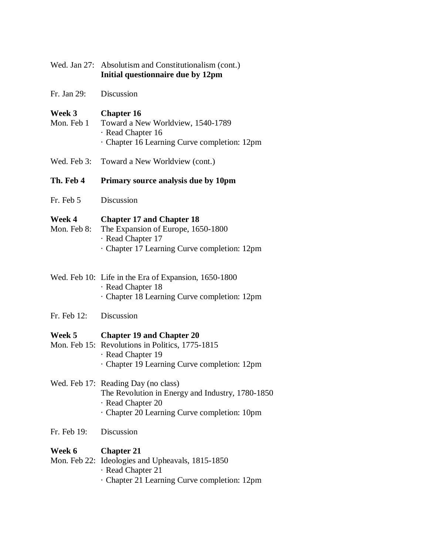| Wed. Jan 27:          | Absolutism and Constitutionalism (cont.)<br>Initial questionnaire due by 12pm                                                                              |
|-----------------------|------------------------------------------------------------------------------------------------------------------------------------------------------------|
| Fr. Jan 29:           | Discussion                                                                                                                                                 |
| Week 3<br>Mon. Feb 1  | <b>Chapter 16</b><br>Toward a New Worldview, 1540-1789<br>· Read Chapter 16<br>Chapter 16 Learning Curve completion: 12pm                                  |
| Wed. Feb 3:           | Toward a New Worldview (cont.)                                                                                                                             |
| Th. Feb 4             | Primary source analysis due by 10pm                                                                                                                        |
| Fr. Feb 5             | Discussion                                                                                                                                                 |
| Week 4<br>Mon. Feb 8: | <b>Chapter 17 and Chapter 18</b><br>The Expansion of Europe, 1650-1800<br>· Read Chapter 17<br>· Chapter 17 Learning Curve completion: 12pm                |
|                       | Wed. Feb 10: Life in the Era of Expansion, 1650-1800<br>· Read Chapter 18<br>· Chapter 18 Learning Curve completion: 12pm                                  |
| Fr. Feb 12:           | Discussion                                                                                                                                                 |
| Week 5                | <b>Chapter 19 and Chapter 20</b><br>Mon. Feb 15: Revolutions in Politics, 1775-1815<br>· Read Chapter 19<br>Chapter 19 Learning Curve completion: 12pm     |
|                       | Wed. Feb 17: Reading Day (no class)<br>The Revolution in Energy and Industry, 1780-1850<br>· Read Chapter 20<br>Chapter 20 Learning Curve completion: 10pm |
| Fr. Feb 19:           | Discussion                                                                                                                                                 |
| Week 6                | <b>Chapter 21</b><br>Mon. Feb 22: Ideologies and Upheavals, 1815-1850<br>· Read Chapter 21<br>Chapter 21 Learning Curve completion: 12pm                   |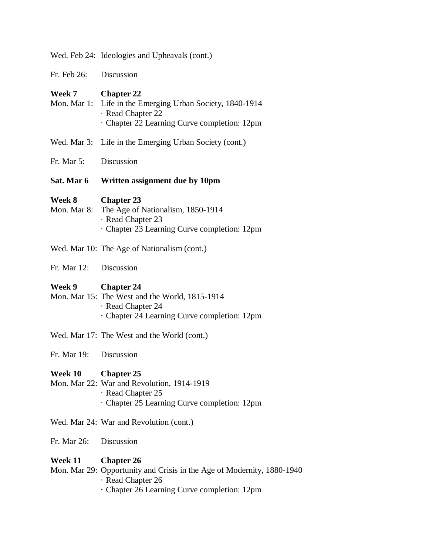|                              | Wed. Feb 24: Ideologies and Upheavals (cont.)                                                                                          |
|------------------------------|----------------------------------------------------------------------------------------------------------------------------------------|
| Fr. Feb 26:                  | Discussion                                                                                                                             |
| <b>Week 7</b><br>Mon. Mar 1: | <b>Chapter 22</b><br>Life in the Emerging Urban Society, 1840-1914<br>· Read Chapter 22<br>Chapter 22 Learning Curve completion: 12pm  |
|                              | Wed. Mar 3: Life in the Emerging Urban Society (cont.)                                                                                 |
| Fr. Mar 5:                   | Discussion                                                                                                                             |
| Sat. Mar 6                   | Written assignment due by 10pm                                                                                                         |
| Week 8<br>Mon. Mar 8:        | <b>Chapter 23</b><br>The Age of Nationalism, 1850-1914<br>· Read Chapter 23<br>Chapter 23 Learning Curve completion: 12pm              |
|                              | Wed. Mar 10: The Age of Nationalism (cont.)                                                                                            |
| Fr. Mar 12:                  | Discussion                                                                                                                             |
| Week 9                       | <b>Chapter 24</b><br>Mon. Mar 15: The West and the World, 1815-1914<br>· Read Chapter 24<br>Chapter 24 Learning Curve completion: 12pm |
|                              | Wed. Mar 17: The West and the World (cont.)                                                                                            |
| Fr. Mar 19:                  | Discussion                                                                                                                             |
| Week 10 Chapter 25           |                                                                                                                                        |
|                              | Mon. Mar 22: War and Revolution, 1914-1919<br>· Read Chapter 25<br>Chapter 25 Learning Curve completion: 12pm                          |
|                              | Wed. Mar 24: War and Revolution (cont.)                                                                                                |
| Fr. Mar 26:                  | Discussion                                                                                                                             |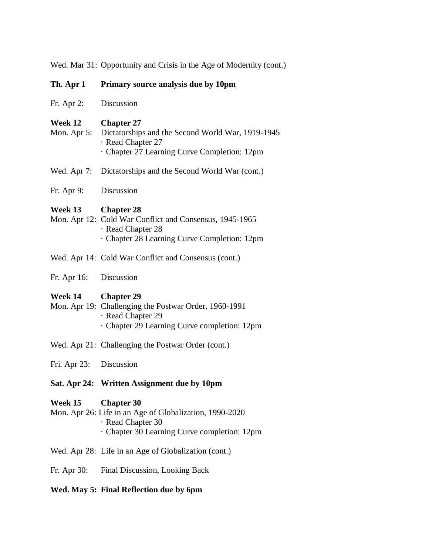Wed. Mar 31: Opportunity and Crisis in the Age of Modernity (cont.)

### **Th. Apr 1 Primary source analysis due by 10pm**

#### **Week 12 Chapter 27**

- Mon. Apr 5: Dictatorships and the Second World War, 1919-1945 · Read Chapter 27 · Chapter 27 Learning Curve Completion: 12pm
- Wed. Apr 7: Dictatorships and the Second World War (cont.)
- Fr. Apr 9: Discussion

#### **Week 13 Chapter 28**

- Mon. Apr 12: Cold War Conflict and Consensus, 1945-1965 · Read Chapter 28 · Chapter 28 Learning Curve Completion: 12pm
- Wed. Apr 14: Cold War Conflict and Consensus (cont.)
- Fr. Apr 16: Discussion

#### **Week 14 Chapter 29**

- Mon. Apr 19: Challenging the Postwar Order, 1960-1991 · Read Chapter 29 · Chapter 29 Learning Curve completion: 12pm
- Wed. Apr 21: Challenging the Postwar Order (cont.)
- Fri. Apr 23: Discussion

## **Sat. Apr 24: Written Assignment due by 10pm**

#### **Week 15 Chapter 30**

- Mon. Apr 26: Life in an Age of Globalization, 1990-2020
	- · Read Chapter 30
	- · Chapter 30 Learning Curve completion: 12pm
- Wed. Apr 28: Life in an Age of Globalization (cont.)
- Fr. Apr 30: Final Discussion, Looking Back

#### **Wed. May 5: Final Reflection due by 6pm**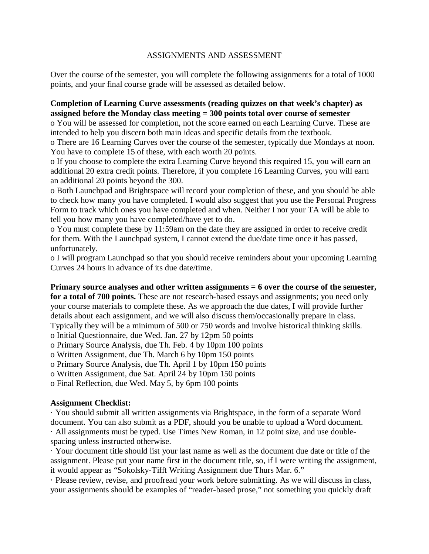## ASSIGNMENTS AND ASSESSMENT

Over the course of the semester, you will complete the following assignments for a total of 1000 points, and your final course grade will be assessed as detailed below.

## **Completion of Learning Curve assessments (reading quizzes on that week's chapter) as assigned before the Monday class meeting = 300 points total over course of semester**

o You will be assessed for completion, not the score earned on each Learning Curve. These are intended to help you discern both main ideas and specific details from the textbook.

o There are 16 Learning Curves over the course of the semester, typically due Mondays at noon. You have to complete 15 of these, with each worth 20 points.

o If you choose to complete the extra Learning Curve beyond this required 15, you will earn an additional 20 extra credit points. Therefore, if you complete 16 Learning Curves, you will earn an additional 20 points beyond the 300.

o Both Launchpad and Brightspace will record your completion of these, and you should be able to check how many you have completed. I would also suggest that you use the Personal Progress Form to track which ones you have completed and when. Neither I nor your TA will be able to tell you how many you have completed/have yet to do.

o You must complete these by 11:59am on the date they are assigned in order to receive credit for them. With the Launchpad system, I cannot extend the due/date time once it has passed, unfortunately.

o I will program Launchpad so that you should receive reminders about your upcoming Learning Curves 24 hours in advance of its due date/time.

#### **Primary source analyses and other written assignments = 6 over the course of the semester,**

**for a total of 700 points.** These are not research-based essays and assignments; you need only your course materials to complete these. As we approach the due dates, I will provide further details about each assignment, and we will also discuss them/occasionally prepare in class. Typically they will be a minimum of 500 or 750 words and involve historical thinking skills.

o Initial Questionnaire, due Wed. Jan. 27 by 12pm 50 points

o Primary Source Analysis, due Th. Feb. 4 by 10pm 100 points

o Written Assignment, due Th. March 6 by 10pm 150 points

o Primary Source Analysis, due Th. April 1 by 10pm 150 points

o Written Assignment, due Sat. April 24 by 10pm 150 points

o Final Reflection, due Wed. May 5, by 6pm 100 points

## **Assignment Checklist:**

· You should submit all written assignments via Brightspace, in the form of a separate Word document. You can also submit as a PDF, should you be unable to upload a Word document. · All assignments must be typed. Use Times New Roman, in 12 point size, and use doublespacing unless instructed otherwise.

· Your document title should list your last name as well as the document due date or title of the assignment. Please put your name first in the document title, so, if I were writing the assignment, it would appear as "Sokolsky-Tifft Writing Assignment due Thurs Mar. 6."

· Please review, revise, and proofread your work before submitting. As we will discuss in class, your assignments should be examples of "reader-based prose," not something you quickly draft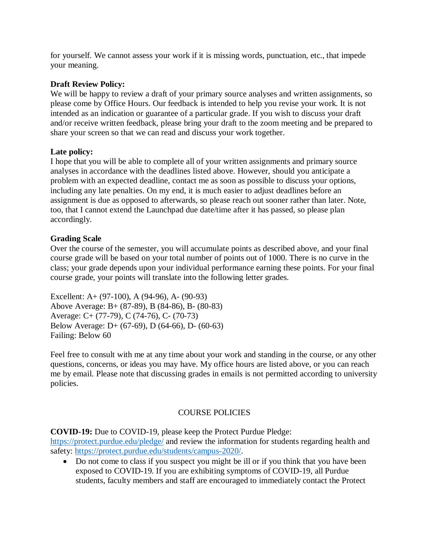for yourself. We cannot assess your work if it is missing words, punctuation, etc., that impede your meaning.

## **Draft Review Policy:**

We will be happy to review a draft of your primary source analyses and written assignments, so please come by Office Hours. Our feedback is intended to help you revise your work. It is not intended as an indication or guarantee of a particular grade. If you wish to discuss your draft and/or receive written feedback, please bring your draft to the zoom meeting and be prepared to share your screen so that we can read and discuss your work together.

## **Late policy:**

I hope that you will be able to complete all of your written assignments and primary source analyses in accordance with the deadlines listed above. However, should you anticipate a problem with an expected deadline, contact me as soon as possible to discuss your options, including any late penalties. On my end, it is much easier to adjust deadlines before an assignment is due as opposed to afterwards, so please reach out sooner rather than later. Note, too, that I cannot extend the Launchpad due date/time after it has passed, so please plan accordingly.

## **Grading Scale**

Over the course of the semester, you will accumulate points as described above, and your final course grade will be based on your total number of points out of 1000. There is no curve in the class; your grade depends upon your individual performance earning these points. For your final course grade, your points will translate into the following letter grades.

Excellent: A+ (97-100), A (94-96), A- (90-93) Above Average: B+ (87-89), B (84-86), B- (80-83) Average: C+ (77-79), C (74-76), C- (70-73) Below Average: D+ (67-69), D (64-66), D- (60-63) Failing: Below 60

Feel free to consult with me at any time about your work and standing in the course, or any other questions, concerns, or ideas you may have. My office hours are listed above, or you can reach me by email. Please note that discussing grades in emails is not permitted according to university policies.

## COURSE POLICIES

**COVID-19:** Due to COVID-19, please keep the Protect Purdue Pledge:

<https://protect.purdue.edu/pledge/> and review the information for students regarding health and safety: [https://protect.purdue.edu/students/campus-2020/.](https://protect.purdue.edu/students/campus-2020/)

• Do not come to class if you suspect you might be ill or if you think that you have been exposed to COVID-19. If you are exhibiting symptoms of COVID-19, all Purdue students, faculty members and staff are encouraged to immediately contact the Protect